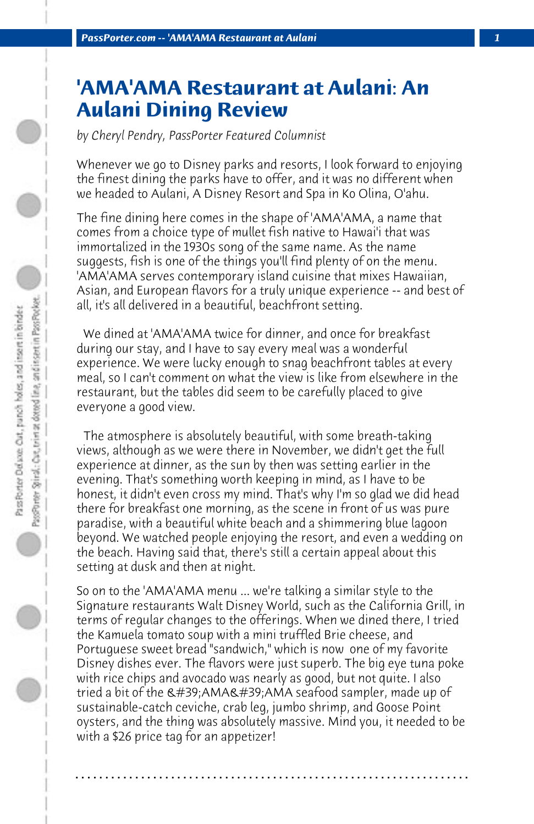## **'AMA'AMA Restaurant at Aulani: An Aulani Dining Review**

*by Cheryl Pendry, PassPorter Featured Columnist*

Whenever we go to Disney parks and resorts, I look forward to enjoying the finest dining the parks have to offer, and it was no different when we headed to Aulani, A Disney Resort and Spa in Ko Olina, O'ahu.

The fine dining here comes in the shape of 'AMA'AMA, a name that comes from a choice type of mullet fish native to Hawai'i that was immortalized in the 1930s song of the same name. As the name suggests, fish is one of the things you'll find plenty of on the menu. 'AMA'AMA serves contemporary island cuisine that mixes Hawaiian, Asian, and European flavors for a truly unique experience -- and best of all, it's all delivered in a beautiful, beachfront setting.

 We dined at 'AMA'AMA twice for dinner, and once for breakfast during our stay, and I have to say every meal was a wonderful experience. We were lucky enough to snag beachfront tables at every meal, so I can't comment on what the view is like from elsewhere in the restaurant, but the tables did seem to be carefully placed to give everyone a good view.

 The atmosphere is absolutely beautiful, with some breath-taking views, although as we were there in November, we didn't get the full experience at dinner, as the sun by then was setting earlier in the evening. That's something worth keeping in mind, as I have to be honest, it didn't even cross my mind. That's why I'm so glad we did head there for breakfast one morning, as the scene in front of us was pure paradise, with a beautiful white beach and a shimmering blue lagoon beyond. We watched people enjoying the resort, and even a wedding on the beach. Having said that, there's still a certain appeal about this setting at dusk and then at night.

So on to the 'AMA'AMA menu ... we're talking a similar style to the Signature restaurants Walt Disney World, such as the California Grill, in terms of regular changes to the offerings. When we dined there, I tried the Kamuela tomato soup with a mini truffled Brie cheese, and Portuguese sweet bread "sandwich," which is now one of my favorite Disney dishes ever. The flavors were just superb. The big eye tuna poke with rice chips and avocado was nearly as good, but not quite. I also tried a bit of the  $\&\#39$ ;AMA $&\#39$ ;AMA seafood sampler, made up of sustainable-catch ceviche, crab leg, jumbo shrimp, and Goose Point oysters, and the thing was absolutely massive. Mind you, it needed to be with a \$26 price tag for an appetizer!

**. . . . . . . . . . . . . . . . . . . . . . . . . . . . . . . . . . . . . . . . . . . . . . . . . . . . . . . . . . . . . . . . . .**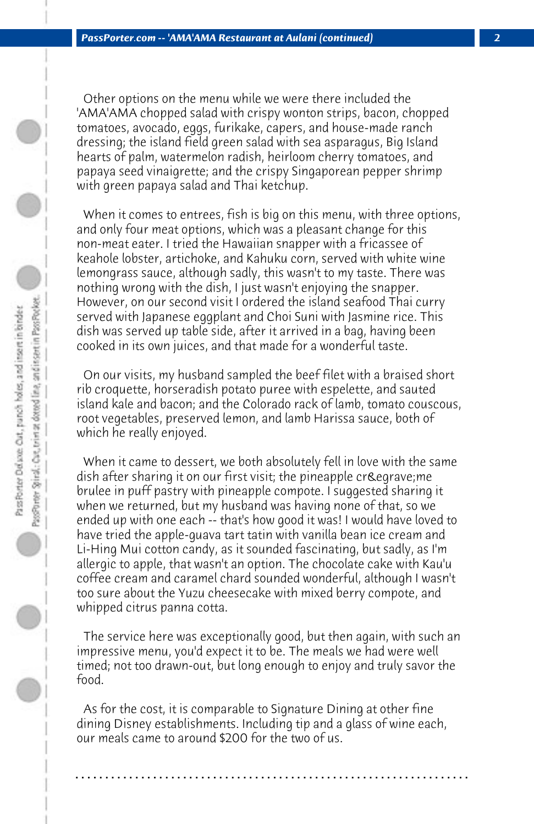Other options on the menu while we were there included the 'AMA'AMA chopped salad with crispy wonton strips, bacon, chopped tomatoes, avocado, eggs, furikake, capers, and house-made ranch dressing; the island field green salad with sea asparagus, Big Island hearts of palm, watermelon radish, heirloom cherry tomatoes, and papaya seed vinaigrette; and the crispy Singaporean pepper shrimp with green papaya salad and Thai ketchup.

 When it comes to entrees, fish is big on this menu, with three options, and only four meat options, which was a pleasant change for this non-meat eater. I tried the Hawaiian snapper with a fricassee of keahole lobster, artichoke, and Kahuku corn, served with white wine lemongrass sauce, although sadly, this wasn't to my taste. There was nothing wrong with the dish, I just wasn't enjoying the snapper. However, on our second visit I ordered the island seafood Thai curry served with Japanese eggplant and Choi Suni with Jasmine rice. This dish was served up table side, after it arrived in a bag, having been cooked in its own juices, and that made for a wonderful taste.

 On our visits, my husband sampled the beef filet with a braised short rib croquette, horseradish potato puree with espelette, and sauted island kale and bacon; and the Colorado rack of lamb, tomato couscous, root vegetables, preserved lemon, and lamb Harissa sauce, both of which he really enjoyed.

 When it came to dessert, we both absolutely fell in love with the same dish after sharing it on our first visit; the pineapple crè me brulee in puff pastry with pineapple compote. I suggested sharing it when we returned, but my husband was having none of that, so we ended up with one each -- that's how good it was! I would have loved to have tried the apple-guava tart tatin with vanilla bean ice cream and Li-Hing Mui cotton candy, as it sounded fascinating, but sadly, as I'm allergic to apple, that wasn't an option. The chocolate cake with Kau'u coffee cream and caramel chard sounded wonderful, although I wasn't too sure about the Yuzu cheesecake with mixed berry compote, and whipped citrus panna cotta.

 The service here was exceptionally good, but then again, with such an impressive menu, you'd expect it to be. The meals we had were well timed; not too drawn-out, but long enough to enjoy and truly savor the food.

 As for the cost, it is comparable to Signature Dining at other fine dining Disney establishments. Including tip and a glass of wine each, our meals came to around \$200 for the two of us.

**. . . . . . . . . . . . . . . . . . . . . . . . . . . . . . . . . . . . . . . . . . . . . . . . . . . . . . . . . . . . . . . . . .**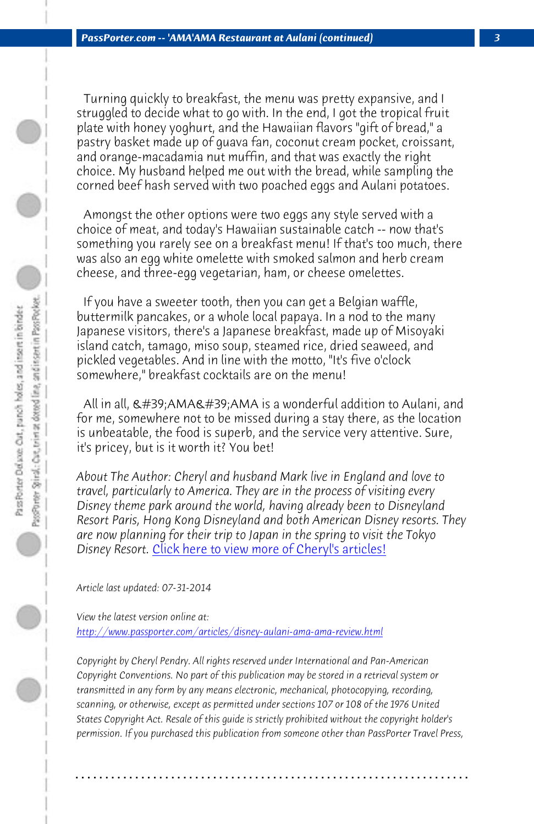*PassPorter.com -- 'AMA'AMA Restaurant at Aulani (continued) 3*

 Turning quickly to breakfast, the menu was pretty expansive, and I struggled to decide what to go with. In the end, I got the tropical fruit plate with honey yoghurt, and the Hawaiian flavors "gift of bread," a pastry basket made up of guava fan, coconut cream pocket, croissant, and orange-macadamia nut muffin, and that was exactly the right choice. My husband helped me out with the bread, while sampling the corned beef hash served with two poached eggs and Aulani potatoes.

 Amongst the other options were two eggs any style served with a choice of meat, and today's Hawaiian sustainable catch -- now that's something you rarely see on a breakfast menu! If that's too much, there was also an egg white omelette with smoked salmon and herb cream cheese, and three-egg vegetarian, ham, or cheese omelettes.

 If you have a [sweeter tooth, then you can get a Belgian w](http://www.passporter.com/articles/cheryl-pendry-featured-columnist.asp)affle, buttermilk pancakes, or a whole local papaya. In a nod to the many Japanese visitors, there's a Japanese breakfast, made up of Misoyaki island catch, tamago, miso soup, steamed rice, dried seaweed, and pickled vegetables. And in line with the motto, "It's five o'clock somewhere," breakfast cocktails are on the menu!

All in all,  $R#39$ ; AMA $R#39$ ; AMA is a wonderful addition to Aulani, and for me, somewhere not to be missed during a stay there, as the location is unbeatable, the food is superb, and the service very attentive. Sure, it's pricey, but is it worth it? You bet!

*About The Author: Cheryl and husband Mark live in England and love to travel, particularly to America. They are in the process of visiting every Disney theme park around the world, having already been to Disneyland Resort Paris, Hong Kong Disneyland and both American Disney resorts. They are now planning for their trip to Japan in the spring to visit the Tokyo Disney Resort.* Click here to view more of Cheryl's articles!

*Article last updated: 07-31-2014*

*View the latest version online at:* 

*http://www.passporter.com/articles/disney-aulani-ama-ama-review.html*

*Copyright by Cheryl Pendry. All rights reserved under International and Pan-American Copyright Conventions. No part of this publication may be stored in a retrieval system or transmitted in any form by any means electronic, mechanical, photocopying, recording, scanning, or otherwise, except as permitted under sections 107 or 108 of the 1976 United States Copyright Act. Resale of this guide is strictly prohibited without the copyright holder's permission. If you purchased this publication from someone other than PassPorter Travel Press,*

**. . . . . . . . . . . . . . . . . . . . . . . . . . . . . . . . . . . . . . . . . . . . . . . . . . . . . . . . . . . . . . . . . .**

 $\circ$